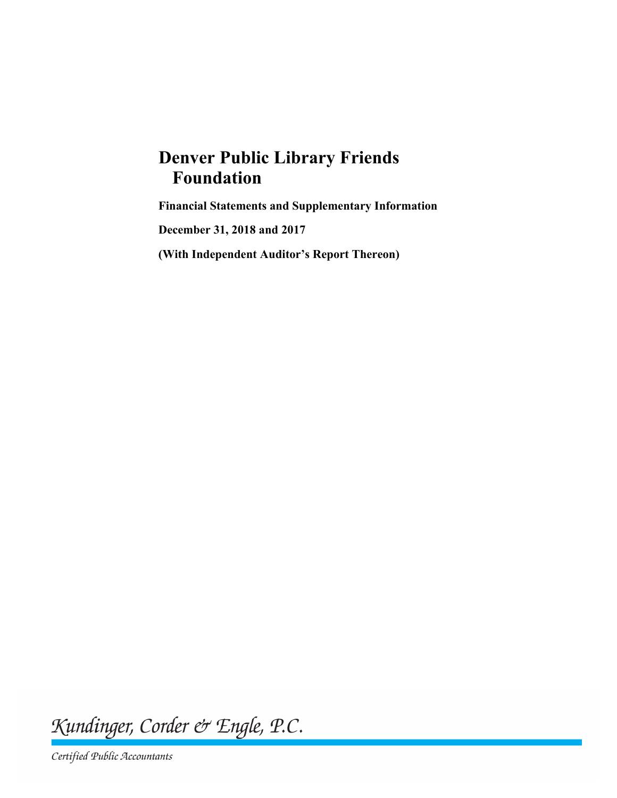**Financial Statements and Supplementary Information**

**December 31, 2018 and 2017**

**(With Independent Auditor's Report Thereon)**

Kundinger, Corder & Engle, P.C.

Certified Public Accountants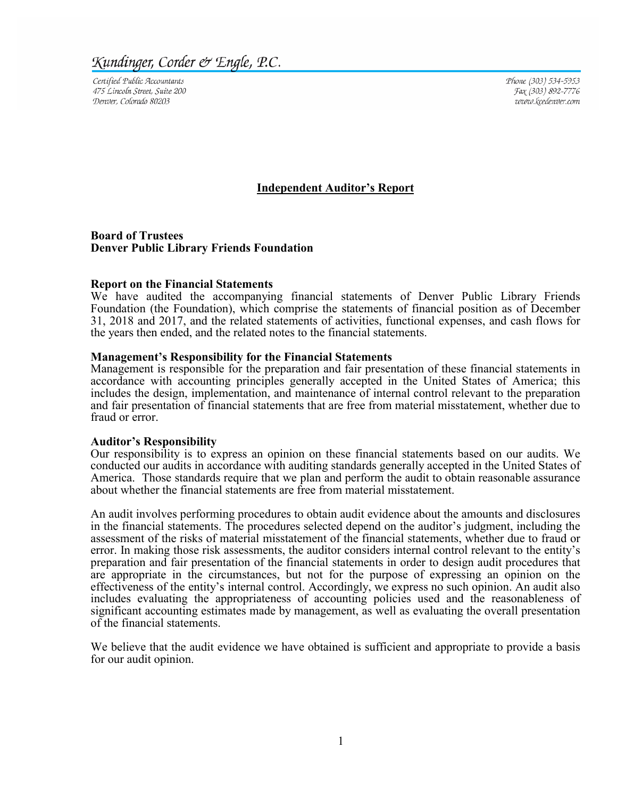Kundinger, Corder & Engle, P.C.

Certified Public Accountants 475 Lincoln Street, Suite 200 Denver, Colorado 80203

Phone (303) 534-5953 Fax (303) 892-7776 www.kcedenver.com

# **Independent Auditor's Report**

#### **Board of Trustees Denver Public Library Friends Foundation**

#### **Report on the Financial Statements**

We have audited the accompanying financial statements of Denver Public Library Friends Foundation (the Foundation), which comprise the statements of financial position as of December 31, 2018 and 2017, and the related statements of activities, functional expenses, and cash flows for the years then ended, and the related notes to the financial statements.

#### **Management's Responsibility for the Financial Statements**

Management is responsible for the preparation and fair presentation of these financial statements in accordance with accounting principles generally accepted in the United States of America; this includes the design, implementation, and maintenance of internal control relevant to the preparation and fair presentation of financial statements that are free from material misstatement, whether due to fraud or error.

#### **Auditor's Responsibility**

Our responsibility is to express an opinion on these financial statements based on our audits. We conducted our audits in accordance with auditing standards generally accepted in the United States of America. Those standards require that we plan and perform the audit to obtain reasonable assurance about whether the financial statements are free from material misstatement.

An audit involves performing procedures to obtain audit evidence about the amounts and disclosures in the financial statements. The procedures selected depend on the auditor's judgment, including the assessment of the risks of material misstatement of the financial statements, whether due to fraud or error. In making those risk assessments, the auditor considers internal control relevant to the entity's preparation and fair presentation of the financial statements in order to design audit procedures that are appropriate in the circumstances, but not for the purpose of expressing an opinion on the effectiveness of the entity's internal control. Accordingly, we express no such opinion. An audit also includes evaluating the appropriateness of accounting policies used and the reasonableness of significant accounting estimates made by management, as well as evaluating the overall presentation of the financial statements.

We believe that the audit evidence we have obtained is sufficient and appropriate to provide a basis for our audit opinion.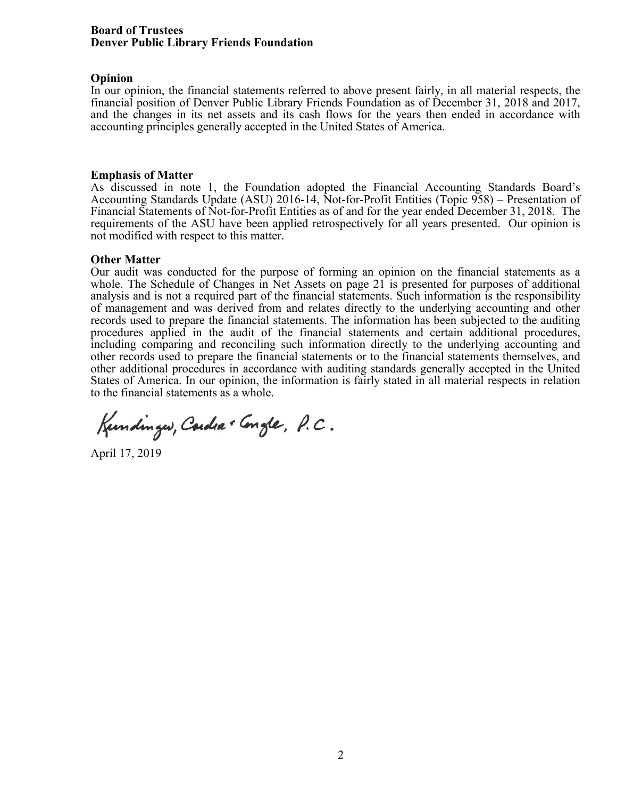### **Board of Trustees Denver Public Library Friends Foundation**

# **Opinion**

In our opinion, the financial statements referred to above present fairly, in all material respects, the financial position of Denver Public Library Friends Foundation as of December 31, 2018 and 2017, and the changes in its net assets and its cash flows for the years then ended in accordance with accounting principles generally accepted in the United States of America.

### **Emphasis of Matter**

As discussed in note 1, the Foundation adopted the Financial Accounting Standards Board's Accounting Standards Update (ASU) 2016-14, Not-for-Profit Entities (Topic 958) – Presentation of Financial Statements of Not-for-Profit Entities as of and for the year ended December 31, 2018. The requirements of the ASU have been applied retrospectively for all years presented. Our opinion is not modified with respect to this matter.

# **Other Matter**

Our audit was conducted for the purpose of forming an opinion on the financial statements as a whole. The Schedule of Changes in Net Assets on page 21 is presented for purposes of additional analysis and is not a required part of the financial statements. Such information is the responsibility of management and was derived from and relates directly to the underlying accounting and other records used to prepare the financial statements. The information has been subjected to the auditing procedures applied in the audit of the financial statements and certain additional procedures, including comparing and reconciling such information directly to the underlying accounting and other records used to prepare the financial statements or to the financial statements themselves, and other additional procedures in accordance with auditing standards generally accepted in the United States of America. In our opinion, the information is fairly stated in all material respects in relation to the financial statements as a whole.

Kundinger, Cardia . Congle, P.C.

April 17, 2019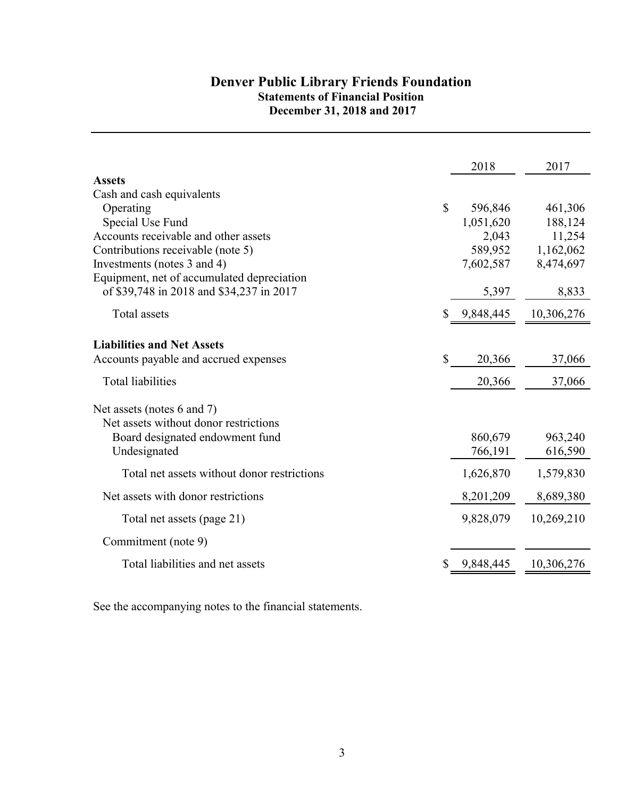# **Denver Public Library Friends Foundation Statements of Financial Position December 31, 2018 and 2017**

|                                             |              | 2018      | 2017       |
|---------------------------------------------|--------------|-----------|------------|
| <b>Assets</b>                               |              |           |            |
| Cash and cash equivalents                   |              |           |            |
| Operating                                   | $\mathbb{S}$ | 596,846   | 461,306    |
| Special Use Fund                            |              | 1,051,620 | 188,124    |
| Accounts receivable and other assets        |              | 2,043     | 11,254     |
| Contributions receivable (note 5)           |              | 589,952   | 1,162,062  |
| Investments (notes 3 and 4)                 |              | 7,602,587 | 8,474,697  |
| Equipment, net of accumulated depreciation  |              |           |            |
| of \$39,748 in 2018 and \$34,237 in 2017    |              | 5,397     | 8,833      |
| <b>Total</b> assets                         |              | 9,848,445 | 10,306,276 |
| <b>Liabilities and Net Assets</b>           |              |           |            |
| Accounts payable and accrued expenses       | $\mathbb{S}$ | 20,366    | 37,066     |
| <b>Total liabilities</b>                    |              | 20,366    | 37,066     |
| Net assets (notes 6 and 7)                  |              |           |            |
| Net assets without donor restrictions       |              |           |            |
| Board designated endowment fund             |              | 860,679   | 963,240    |
| Undesignated                                |              | 766,191   | 616,590    |
|                                             |              |           |            |
| Total net assets without donor restrictions |              | 1,626,870 | 1,579,830  |
| Net assets with donor restrictions          |              | 8,201,209 | 8,689,380  |
| Total net assets (page 21)                  |              | 9,828,079 | 10,269,210 |
| Commitment (note 9)                         |              |           |            |
| Total liabilities and net assets            |              | 9,848,445 | 10,306,276 |
|                                             |              |           |            |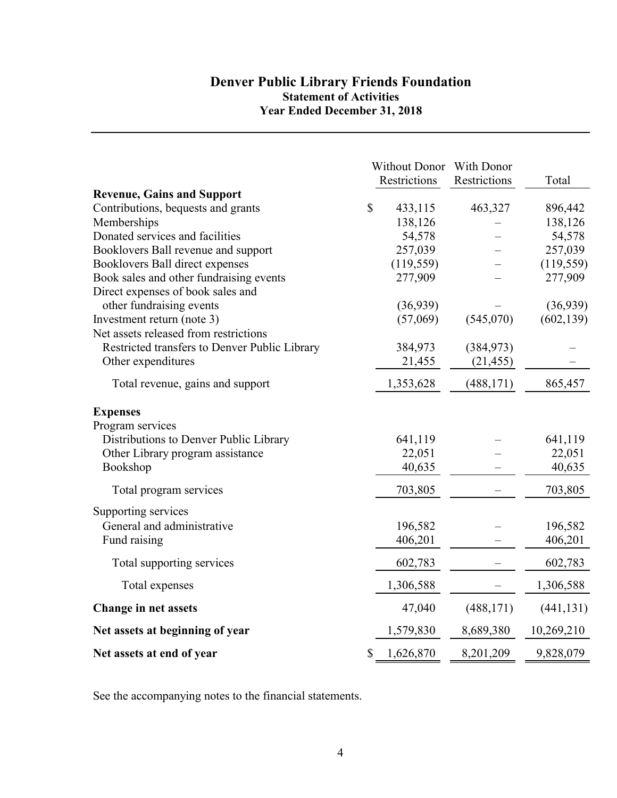# **Statement of Activities Year Ended December 31, 2018 Denver Public Library Friends Foundation**

|                                                                                                                               | Without Donor With Donor<br>Restrictions | Restrictions | Total                       |
|-------------------------------------------------------------------------------------------------------------------------------|------------------------------------------|--------------|-----------------------------|
| <b>Revenue, Gains and Support</b>                                                                                             |                                          |              |                             |
| Contributions, bequests and grants                                                                                            | \$<br>433,115                            | 463,327      | 896,442                     |
| Memberships                                                                                                                   | 138,126                                  |              | 138,126                     |
| Donated services and facilities                                                                                               | 54,578                                   |              | 54,578                      |
| Booklovers Ball revenue and support                                                                                           | 257,039                                  |              | 257,039                     |
| Booklovers Ball direct expenses                                                                                               | (119, 559)                               |              | (119, 559)                  |
| Book sales and other fundraising events                                                                                       | 277,909                                  |              | 277,909                     |
| Direct expenses of book sales and                                                                                             |                                          |              |                             |
| other fundraising events                                                                                                      | (36,939)                                 |              | (36,939)                    |
| Investment return (note 3)                                                                                                    | (57,069)                                 | (545,070)    | (602, 139)                  |
| Net assets released from restrictions                                                                                         |                                          |              |                             |
| Restricted transfers to Denver Public Library                                                                                 | 384,973                                  | (384, 973)   |                             |
| Other expenditures                                                                                                            | 21,455                                   | (21, 455)    |                             |
| Total revenue, gains and support                                                                                              | 1,353,628                                | (488, 171)   | 865,457                     |
| <b>Expenses</b><br>Program services<br>Distributions to Denver Public Library<br>Other Library program assistance<br>Bookshop | 641,119<br>22,051<br>40,635              |              | 641,119<br>22,051<br>40,635 |
| Total program services                                                                                                        | 703,805                                  |              | 703,805                     |
| Supporting services<br>General and administrative                                                                             | 196,582                                  |              | 196,582                     |
| Fund raising                                                                                                                  | 406,201                                  |              | 406,201                     |
| Total supporting services                                                                                                     | 602,783                                  |              | 602,783                     |
| Total expenses                                                                                                                | 1,306,588                                |              | 1,306,588                   |
| <b>Change in net assets</b>                                                                                                   | 47,040                                   | (488, 171)   | (441, 131)                  |
| Net assets at beginning of year                                                                                               | 1,579,830                                | 8,689,380    | 10,269,210                  |
| Net assets at end of year                                                                                                     | \$<br>1,626,870                          | 8,201,209    | 9,828,079                   |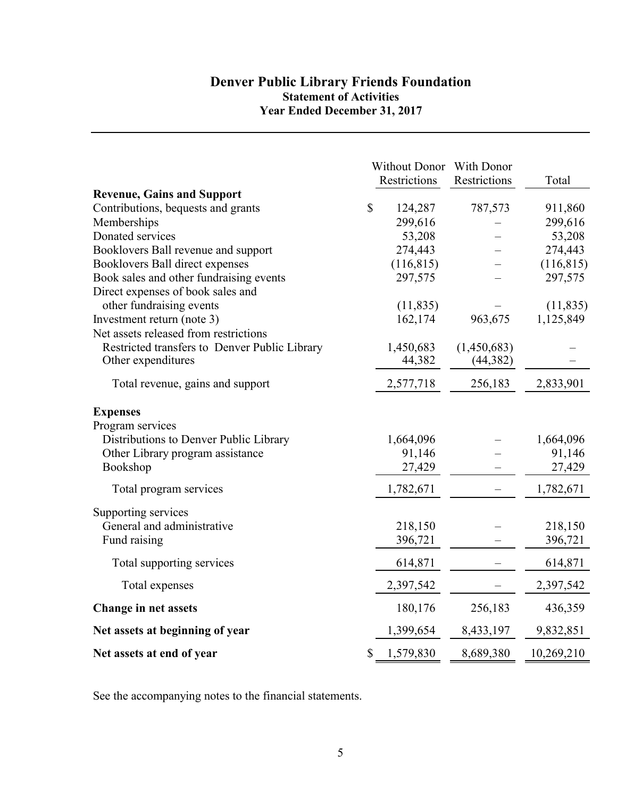# **Denver Public Library Friends Foundation Statement of Activities Year Ended December 31, 2017**

|                                               | Without Donor With Donor<br>Restrictions | Restrictions | Total      |
|-----------------------------------------------|------------------------------------------|--------------|------------|
| <b>Revenue, Gains and Support</b>             |                                          |              |            |
| Contributions, bequests and grants            | \$<br>124,287                            | 787,573      | 911,860    |
| Memberships                                   | 299,616                                  |              | 299,616    |
| Donated services                              | 53,208                                   |              | 53,208     |
| Booklovers Ball revenue and support           | 274,443                                  |              | 274,443    |
| Booklovers Ball direct expenses               | (116, 815)                               |              | (116, 815) |
| Book sales and other fundraising events       | 297,575                                  |              | 297,575    |
| Direct expenses of book sales and             |                                          |              |            |
| other fundraising events                      | (11, 835)                                |              | (11, 835)  |
| Investment return (note 3)                    | 162,174                                  | 963,675      | 1,125,849  |
| Net assets released from restrictions         |                                          |              |            |
| Restricted transfers to Denver Public Library | 1,450,683                                | (1,450,683)  |            |
| Other expenditures                            | 44,382                                   | (44, 382)    |            |
| Total revenue, gains and support              | 2,577,718                                | 256,183      | 2,833,901  |
| <b>Expenses</b><br>Program services           |                                          |              |            |
| Distributions to Denver Public Library        | 1,664,096                                |              | 1,664,096  |
| Other Library program assistance              | 91,146                                   |              | 91,146     |
| Bookshop                                      | 27,429                                   |              | 27,429     |
| Total program services                        | 1,782,671                                |              | 1,782,671  |
| Supporting services                           |                                          |              |            |
| General and administrative                    | 218,150                                  |              | 218,150    |
| Fund raising                                  | 396,721                                  |              | 396,721    |
| Total supporting services                     | 614,871                                  |              | 614,871    |
| Total expenses                                | 2,397,542                                |              | 2,397,542  |
| <b>Change in net assets</b>                   | 180,176                                  | 256,183      | 436,359    |
| Net assets at beginning of year               | 1,399,654                                | 8,433,197    | 9,832,851  |
| Net assets at end of year                     | \$<br>1,579,830                          | 8,689,380    | 10,269,210 |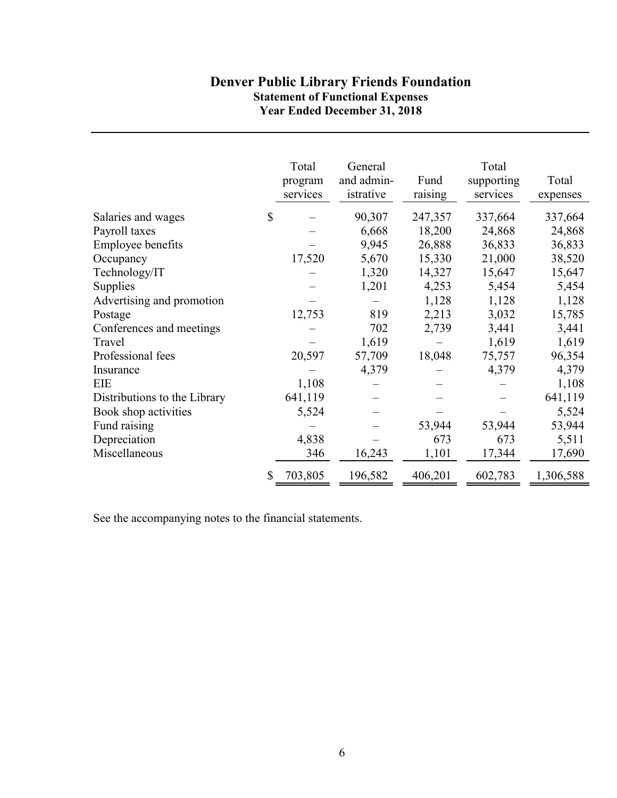# **Denver Public Library Friends Foundation Statement of Functional Expenses Year Ended December 31, 2018**

|                              | Total<br>program<br>services | General<br>and admin-<br>istrative | Fund<br>raising | Total<br>supporting<br>services | Total<br>expenses |
|------------------------------|------------------------------|------------------------------------|-----------------|---------------------------------|-------------------|
| Salaries and wages           | \$                           | 90,307                             | 247,357         | 337,664                         | 337,664           |
| Payroll taxes                |                              | 6,668                              | 18,200          | 24,868                          | 24,868            |
| <b>Employee benefits</b>     |                              | 9,945                              | 26,888          | 36,833                          | 36,833            |
| Occupancy                    | 17,520                       | 5,670                              | 15,330          | 21,000                          | 38,520            |
| Technology/IT                |                              | 1,320                              | 14,327          | 15,647                          | 15,647            |
| Supplies                     |                              | 1,201                              | 4,253           | 5,454                           | 5,454             |
| Advertising and promotion    |                              |                                    | 1,128           | 1,128                           | 1,128             |
| Postage                      | 12,753                       | 819                                | 2,213           | 3,032                           | 15,785            |
| Conferences and meetings     |                              | 702                                | 2,739           | 3,441                           | 3,441             |
| Travel                       |                              | 1,619                              |                 | 1,619                           | 1,619             |
| Professional fees            | 20,597                       | 57,709                             | 18,048          | 75,757                          | 96,354            |
| Insurance                    |                              | 4,379                              |                 | 4,379                           | 4,379             |
| EIE                          | 1,108                        |                                    |                 |                                 | 1,108             |
| Distributions to the Library | 641,119                      |                                    |                 |                                 | 641,119           |
| Book shop activities         | 5,524                        |                                    |                 |                                 | 5,524             |
| Fund raising                 |                              |                                    | 53,944          | 53,944                          | 53,944            |
| Depreciation                 | 4,838                        |                                    | 673             | 673                             | 5,511             |
| Miscellaneous                | 346                          | 16,243                             | 1,101           | 17,344                          | 17,690            |
|                              | $\mathbb{S}$<br>703,805      | 196,582                            | 406,201         | 602,783                         | 1,306,588         |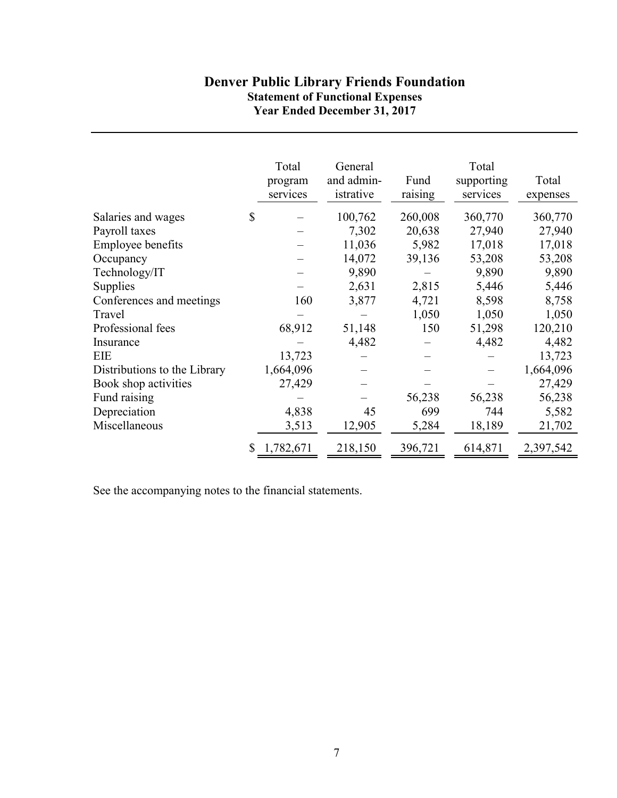# **Denver Public Library Friends Foundation Statement of Functional Expenses Year Ended December 31, 2017**

|                              | Total<br>program<br>services | General<br>and admin-<br>istrative | Fund<br>raising | Total<br>supporting<br>services | Total<br>expenses |
|------------------------------|------------------------------|------------------------------------|-----------------|---------------------------------|-------------------|
| Salaries and wages           | \$                           | 100,762                            | 260,008         | 360,770                         | 360,770           |
| Payroll taxes                |                              | 7,302                              | 20,638          | 27,940                          | 27,940            |
| <b>Employee benefits</b>     |                              | 11,036                             | 5,982           | 17,018                          | 17,018            |
| Occupancy                    |                              | 14,072                             | 39,136          | 53,208                          | 53,208            |
| Technology/IT                |                              | 9,890                              |                 | 9,890                           | 9,890             |
| Supplies                     |                              | 2,631                              | 2,815           | 5,446                           | 5,446             |
| Conferences and meetings     | 160                          | 3,877                              | 4,721           | 8,598                           | 8,758             |
| Travel                       |                              |                                    | 1,050           | 1,050                           | 1,050             |
| Professional fees            | 68,912                       | 51,148                             | 150             | 51,298                          | 120,210           |
| Insurance                    |                              | 4,482                              |                 | 4,482                           | 4,482             |
| EIE                          | 13,723                       |                                    |                 |                                 | 13,723            |
| Distributions to the Library | 1,664,096                    |                                    |                 |                                 | 1,664,096         |
| Book shop activities         | 27,429                       |                                    |                 |                                 | 27,429            |
| Fund raising                 |                              |                                    | 56,238          | 56,238                          | 56,238            |
| Depreciation                 | 4,838                        | 45                                 | 699             | 744                             | 5,582             |
| Miscellaneous                | 3,513                        | 12,905                             | 5,284           | 18,189                          | 21,702            |
|                              | \$<br>1,782,671              | 218,150                            | 396,721         | 614,871                         | 2,397,542         |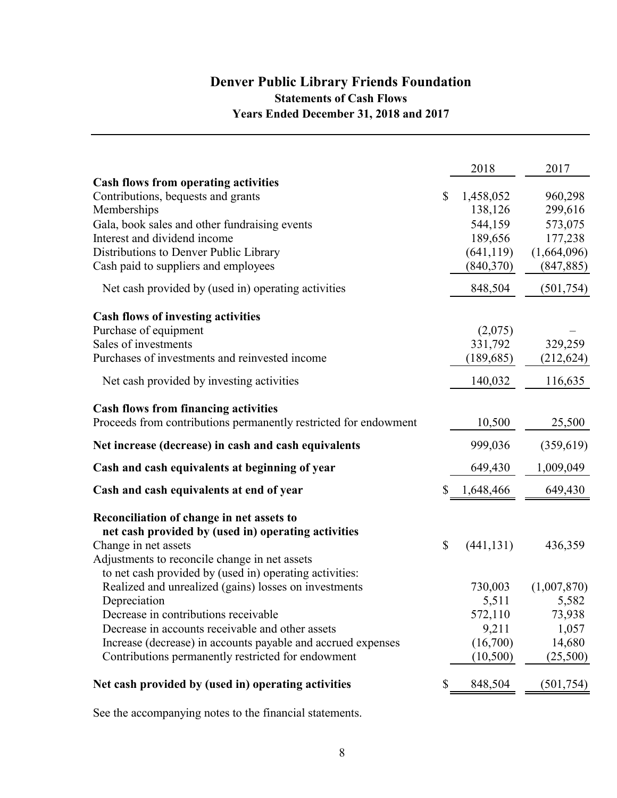# **Denver Public Library Friends Foundation Statements of Cash Flows Years Ended December 31, 2018 and 2017**

|                                                                  |              | 2018       | 2017        |
|------------------------------------------------------------------|--------------|------------|-------------|
| <b>Cash flows from operating activities</b>                      |              |            |             |
| Contributions, bequests and grants                               | $\mathbb{S}$ | 1,458,052  | 960,298     |
| Memberships                                                      |              | 138,126    | 299,616     |
| Gala, book sales and other fundraising events                    |              | 544,159    | 573,075     |
| Interest and dividend income                                     |              | 189,656    | 177,238     |
| Distributions to Denver Public Library                           |              | (641, 119) | (1,664,096) |
| Cash paid to suppliers and employees                             |              | (840, 370) | (847, 885)  |
| Net cash provided by (used in) operating activities              |              | 848,504    | (501, 754)  |
| <b>Cash flows of investing activities</b>                        |              |            |             |
| Purchase of equipment                                            |              | (2,075)    |             |
| Sales of investments                                             |              | 331,792    | 329,259     |
| Purchases of investments and reinvested income                   |              | (189, 685) | (212, 624)  |
| Net cash provided by investing activities                        |              | 140,032    | 116,635     |
| <b>Cash flows from financing activities</b>                      |              |            |             |
| Proceeds from contributions permanently restricted for endowment |              | 10,500     | 25,500      |
| Net increase (decrease) in cash and cash equivalents             |              | 999,036    | (359, 619)  |
| Cash and cash equivalents at beginning of year                   |              | 649,430    | 1,009,049   |
| Cash and cash equivalents at end of year                         |              | 1,648,466  | 649,430     |
| Reconciliation of change in net assets to                        |              |            |             |
| net cash provided by (used in) operating activities              |              |            |             |
| Change in net assets                                             | \$           | (441, 131) | 436,359     |
| Adjustments to reconcile change in net assets                    |              |            |             |
| to net cash provided by (used in) operating activities:          |              |            |             |
| Realized and unrealized (gains) losses on investments            |              | 730,003    | (1,007,870) |
| Depreciation                                                     |              | 5,511      | 5,582       |
| Decrease in contributions receivable                             |              | 572,110    | 73,938      |
| Decrease in accounts receivable and other assets                 |              | 9,211      | 1,057       |
| Increase (decrease) in accounts payable and accrued expenses     |              | (16,700)   | 14,680      |
| Contributions permanently restricted for endowment               |              | (10, 500)  | (25,500)    |
| Net cash provided by (used in) operating activities              | \$           | 848,504    | (501, 754)  |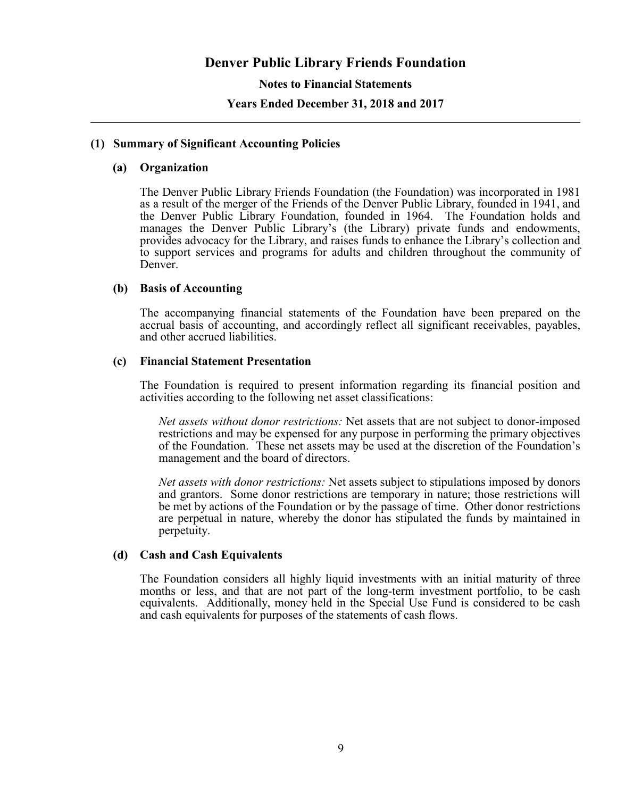#### **Notes to Financial Statements**

### **Years Ended December 31, 2018 and 2017**

#### **(1) Summary of Significant Accounting Policies**

#### **(a) Organization**

The Denver Public Library Friends Foundation (the Foundation) was incorporated in 1981 as a result of the merger of the Friends of the Denver Public Library, founded in 1941, and the Denver Public Library Foundation, founded in 1964. The Foundation holds and manages the Denver Public Library's (the Library) private funds and endowments, provides advocacy for the Library, and raises funds to enhance the Library's collection and to support services and programs for adults and children throughout the community of Denver.

### **(b) Basis of Accounting**

The accompanying financial statements of the Foundation have been prepared on the accrual basis of accounting, and accordingly reflect all significant receivables, payables, and other accrued liabilities.

#### **(c) Financial Statement Presentation**

The Foundation is required to present information regarding its financial position and activities according to the following net asset classifications:

*Net assets without donor restrictions:* Net assets that are not subject to donor-imposed restrictions and may be expensed for any purpose in performing the primary objectives of the Foundation. These net assets may be used at the discretion of the Foundation's management and the board of directors.

*Net assets with donor restrictions:* Net assets subject to stipulations imposed by donors and grantors. Some donor restrictions are temporary in nature; those restrictions will be met by actions of the Foundation or by the passage of time. Other donor restrictions are perpetual in nature, whereby the donor has stipulated the funds by maintained in perpetuity.

#### **(d) Cash and Cash Equivalents**

The Foundation considers all highly liquid investments with an initial maturity of three months or less, and that are not part of the long-term investment portfolio, to be cash equivalents. Additionally, money held in the Special Use Fund is considered to be cash and cash equivalents for purposes of the statements of cash flows.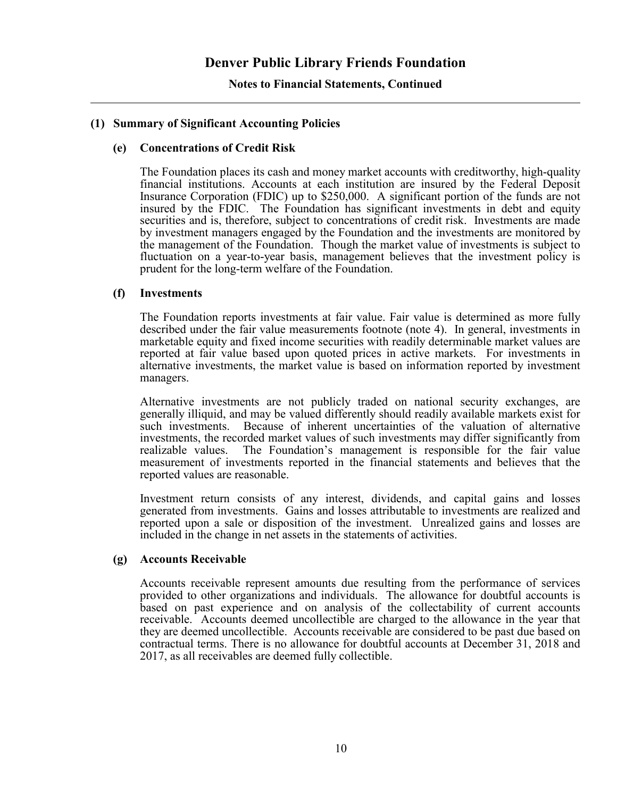**Notes to Financial Statements, Continued**

# **(1) Summary of Significant Accounting Policies**

### **(e) Concentrations of Credit Risk**

The Foundation places its cash and money market accounts with creditworthy, high-quality financial institutions. Accounts at each institution are insured by the Federal Deposit Insurance Corporation (FDIC) up to \$250,000. A significant portion of the funds are not insured by the FDIC. The Foundation has significant investments in debt and equity securities and is, therefore, subject to concentrations of credit risk. Investments are made by investment managers engaged by the Foundation and the investments are monitored by the management of the Foundation. Though the market value of investments is subject to fluctuation on a year-to-year basis, management believes that the investment policy is prudent for the long-term welfare of the Foundation.

# **(f) Investments**

The Foundation reports investments at fair value. Fair value is determined as more fully described under the fair value measurements footnote (note 4). In general, investments in marketable equity and fixed income securities with readily determinable market values are reported at fair value based upon quoted prices in active markets. For investments in alternative investments, the market value is based on information reported by investment managers.

Alternative investments are not publicly traded on national security exchanges, are generally illiquid, and may be valued differently should readily available markets exist for such investments. Because of inherent uncertainties of the valuation of alternative investments, the recorded market values of such investments may differ significantly from realizable values. The Foundation's management is responsible for the fair value measurement of investments reported in the financial statements and believes that the reported values are reasonable.

Investment return consists of any interest, dividends, and capital gains and losses generated from investments. Gains and losses attributable to investments are realized and reported upon a sale or disposition of the investment. Unrealized gains and losses are included in the change in net assets in the statements of activities.

#### **(g) Accounts Receivable**

Accounts receivable represent amounts due resulting from the performance of services provided to other organizations and individuals. The allowance for doubtful accounts is based on past experience and on analysis of the collectability of current accounts receivable. Accounts deemed uncollectible are charged to the allowance in the year that they are deemed uncollectible. Accounts receivable are considered to be past due based on contractual terms. There is no allowance for doubtful accounts at December 31, 2018 and 2017, as all receivables are deemed fully collectible.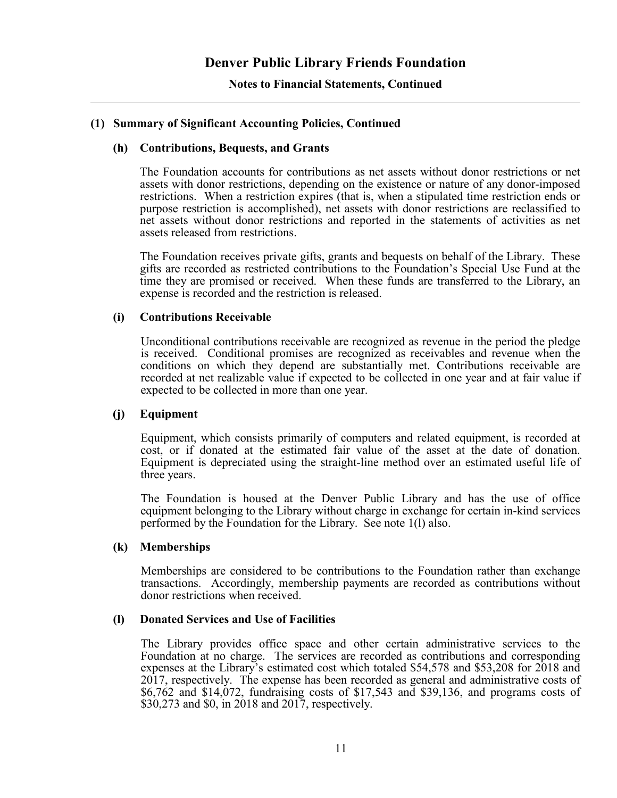# **Notes to Financial Statements, Continued**

### **(1) Summary of Significant Accounting Policies, Continued**

#### **(h) Contributions, Bequests, and Grants**

The Foundation accounts for contributions as net assets without donor restrictions or net assets with donor restrictions, depending on the existence or nature of any donor-imposed restrictions. When a restriction expires (that is, when a stipulated time restriction ends or purpose restriction is accomplished), net assets with donor restrictions are reclassified to net assets without donor restrictions and reported in the statements of activities as net assets released from restrictions.

The Foundation receives private gifts, grants and bequests on behalf of the Library. These gifts are recorded as restricted contributions to the Foundation's Special Use Fund at the time they are promised or received. When these funds are transferred to the Library, an expense is recorded and the restriction is released.

#### **(i) Contributions Receivable**

Unconditional contributions receivable are recognized as revenue in the period the pledge is received. Conditional promises are recognized as receivables and revenue when the conditions on which they depend are substantially met. Contributions receivable are recorded at net realizable value if expected to be collected in one year and at fair value if expected to be collected in more than one year.

#### **(j) Equipment**

Equipment, which consists primarily of computers and related equipment, is recorded at cost, or if donated at the estimated fair value of the asset at the date of donation. Equipment is depreciated using the straight-line method over an estimated useful life of three years.

The Foundation is housed at the Denver Public Library and has the use of office equipment belonging to the Library without charge in exchange for certain in-kind services performed by the Foundation for the Library. See note 1(l) also.

#### **(k) Memberships**

Memberships are considered to be contributions to the Foundation rather than exchange transactions. Accordingly, membership payments are recorded as contributions without donor restrictions when received.

#### **(l) Donated Services and Use of Facilities**

The Library provides office space and other certain administrative services to the Foundation at no charge. The services are recorded as contributions and corresponding expenses at the Library's estimated cost which totaled \$54,578 and \$53,208 for 2018 and 2017, respectively. The expense has been recorded as general and administrative costs of \$6,762 and \$14,072, fundraising costs of \$17,543 and \$39,136, and programs costs of \$30,273 and \$0, in 2018 and 2017, respectively.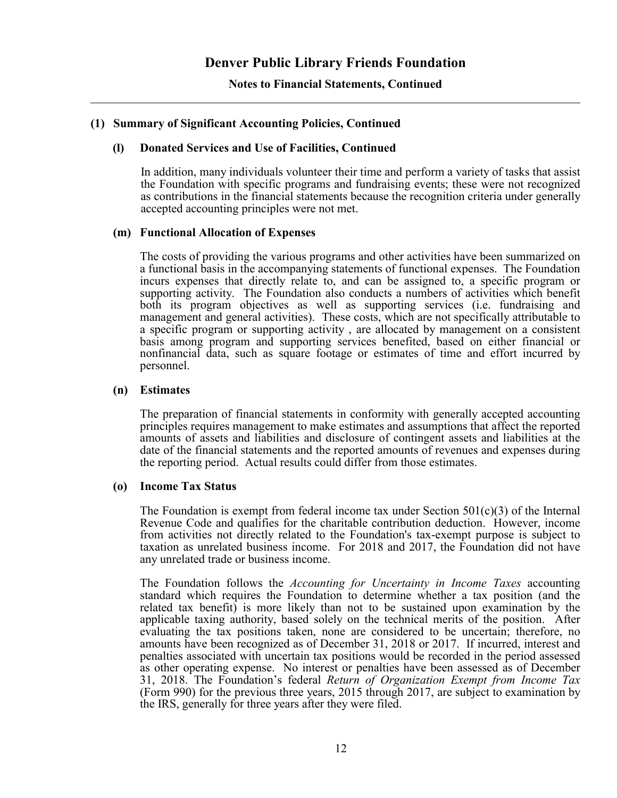# **Notes to Financial Statements, Continued**

### **(1) Summary of Significant Accounting Policies, Continued**

### **(l) Donated Services and Use of Facilities, Continued**

In addition, many individuals volunteer their time and perform a variety of tasks that assist the Foundation with specific programs and fundraising events; these were not recognized as contributions in the financial statements because the recognition criteria under generally accepted accounting principles were not met.

#### **(m) Functional Allocation of Expenses**

The costs of providing the various programs and other activities have been summarized on a functional basis in the accompanying statements of functional expenses. The Foundation incurs expenses that directly relate to, and can be assigned to, a specific program or supporting activity. The Foundation also conducts a numbers of activities which benefit both its program objectives as well as supporting services (i.e. fundraising and management and general activities). These costs, which are not specifically attributable to a specific program or supporting activity , are allocated by management on a consistent basis among program and supporting services benefited, based on either financial or nonfinancial data, such as square footage or estimates of time and effort incurred by personnel.

#### **(n) Estimates**

The preparation of financial statements in conformity with generally accepted accounting principles requires management to make estimates and assumptions that affect the reported amounts of assets and liabilities and disclosure of contingent assets and liabilities at the date of the financial statements and the reported amounts of revenues and expenses during the reporting period. Actual results could differ from those estimates.

#### **(o) Income Tax Status**

The Foundation is exempt from federal income tax under Section  $501(c)(3)$  of the Internal Revenue Code and qualifies for the charitable contribution deduction. However, income from activities not directly related to the Foundation's tax-exempt purpose is subject to taxation as unrelated business income. For 2018 and 2017, the Foundation did not have any unrelated trade or business income.

The Foundation follows the *Accounting for Uncertainty in Income Taxes* accounting standard which requires the Foundation to determine whether a tax position (and the related tax benefit) is more likely than not to be sustained upon examination by the applicable taxing authority, based solely on the technical merits of the position. After evaluating the tax positions taken, none are considered to be uncertain; therefore, no amounts have been recognized as of December 31, 2018 or 2017. If incurred, interest and penalties associated with uncertain tax positions would be recorded in the period assessed as other operating expense. No interest or penalties have been assessed as of December 31, 2018. The Foundation's federal *Return of Organization Exempt from Income Tax*  (Form 990) for the previous three years, 2015 through 2017, are subject to examination by the IRS, generally for three years after they were filed.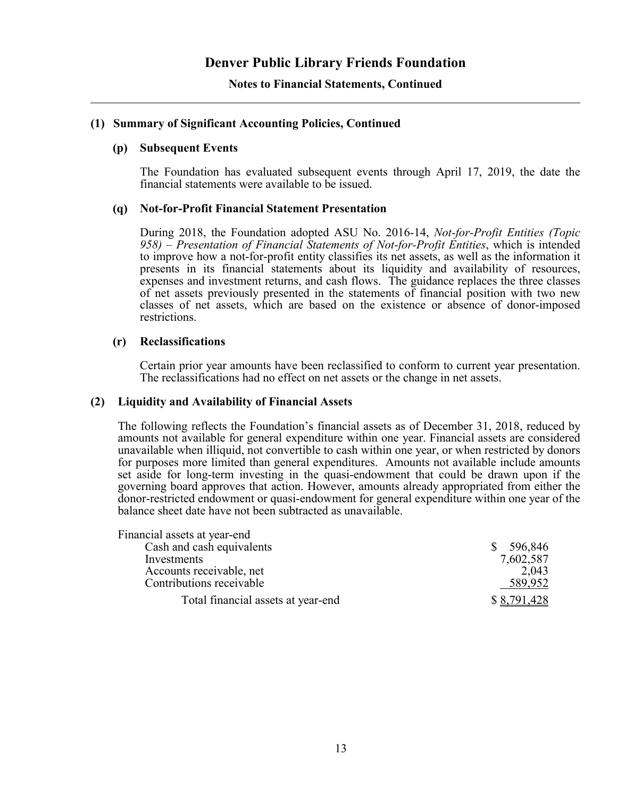# **Notes to Financial Statements, Continued**

### **(1) Summary of Significant Accounting Policies, Continued**

#### **(p) Subsequent Events**

The Foundation has evaluated subsequent events through April 17, 2019, the date the financial statements were available to be issued.

# **(q) Not-for-Profit Financial Statement Presentation**

During 2018, the Foundation adopted ASU No. 2016-14, *Not-for-Profit Entities (Topic 958) – Presentation of Financial Statements of Not-for-Profit Entities*, which is intended to improve how a not-for-profit entity classifies its net assets, as well as the information it presents in its financial statements about its liquidity and availability of resources, expenses and investment returns, and cash flows. The guidance replaces the three classes of net assets previously presented in the statements of financial position with two new classes of net assets, which are based on the existence or absence of donor-imposed restrictions.

#### **(r) Reclassifications**

Certain prior year amounts have been reclassified to conform to current year presentation. The reclassifications had no effect on net assets or the change in net assets.

#### **(2) Liquidity and Availability of Financial Assets**

The following reflects the Foundation's financial assets as of December 31, 2018, reduced by amounts not available for general expenditure within one year. Financial assets are considered unavailable when illiquid, not convertible to cash within one year, or when restricted by donors for purposes more limited than general expenditures. Amounts not available include amounts set aside for long-term investing in the quasi-endowment that could be drawn upon if the governing board approves that action. However, amounts already appropriated from either the donor-restricted endowment or quasi-endowment for general expenditure within one year of the balance sheet date have not been subtracted as unavailable.

| Financial assets at year-end       |             |
|------------------------------------|-------------|
| Cash and cash equivalents          | 596,846     |
| Investments                        | 7,602,587   |
| Accounts receivable, net           | 2,043       |
| Contributions receivable           | 589,952     |
| Total financial assets at year-end | \$8,791,428 |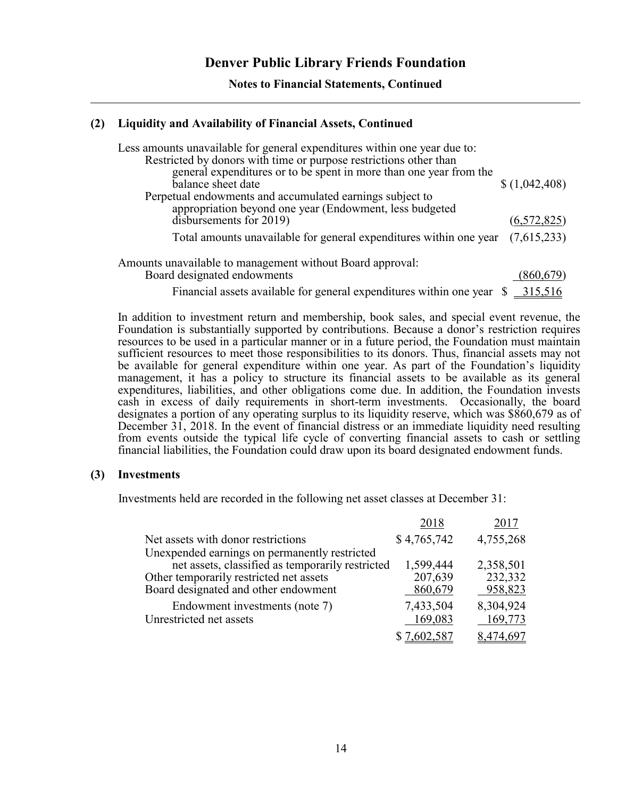**Notes to Financial Statements, Continued**

# **(2) Liquidity and Availability of Financial Assets, Continued**

| Less amounts unavailable for general expenditures within one year due to:      |               |
|--------------------------------------------------------------------------------|---------------|
| Restricted by donors with time or purpose restrictions other than              |               |
| general expenditures or to be spent in more than one year from the             |               |
| balance sheet date                                                             | (1,042,408)   |
| Perpetual endowments and accumulated earnings subject to                       |               |
| appropriation beyond one year (Endowment, less budgeted                        |               |
| disbursements for 2019)                                                        | (6, 572, 825) |
| Total amounts unavailable for general expenditures within one year (7,615,233) |               |
| Amounts unavailable to management without Board approval:                      |               |
| Board designated endowments                                                    | (860,679)     |
| Financial assets available for general expenditures within one year \$         | $-315,516$    |

In addition to investment return and membership, book sales, and special event revenue, the Foundation is substantially supported by contributions. Because a donor's restriction requires resources to be used in a particular manner or in a future period, the Foundation must maintain sufficient resources to meet those responsibilities to its donors. Thus, financial assets may not be available for general expenditure within one year. As part of the Foundation's liquidity management, it has a policy to structure its financial assets to be available as its general expenditures, liabilities, and other obligations come due. In addition, the Foundation invests cash in excess of daily requirements in short-term investments. Occasionally, the board designates a portion of any operating surplus to its liquidity reserve, which was \$860,679 as of December 31, 2018. In the event of financial distress or an immediate liquidity need resulting from events outside the typical life cycle of converting financial assets to cash or settling financial liabilities, the Foundation could draw upon its board designated endowment funds.

#### **(3) Investments**

Investments held are recorded in the following net asset classes at December 31:

|                                                  | 2018        | 2017      |
|--------------------------------------------------|-------------|-----------|
| Net assets with donor restrictions               | \$4,765,742 | 4,755,268 |
| Unexpended earnings on permanently restricted    |             |           |
| net assets, classified as temporarily restricted | 1,599,444   | 2,358,501 |
| Other temporarily restricted net assets          | 207,639     | 232,332   |
| Board designated and other endowment             | 860,679     | 958,823   |
| Endowment investments (note 7)                   | 7,433,504   | 8,304,924 |
| Unrestricted net assets                          | 169,083     | 169,773   |
|                                                  | \$7,602,587 | 8,474,697 |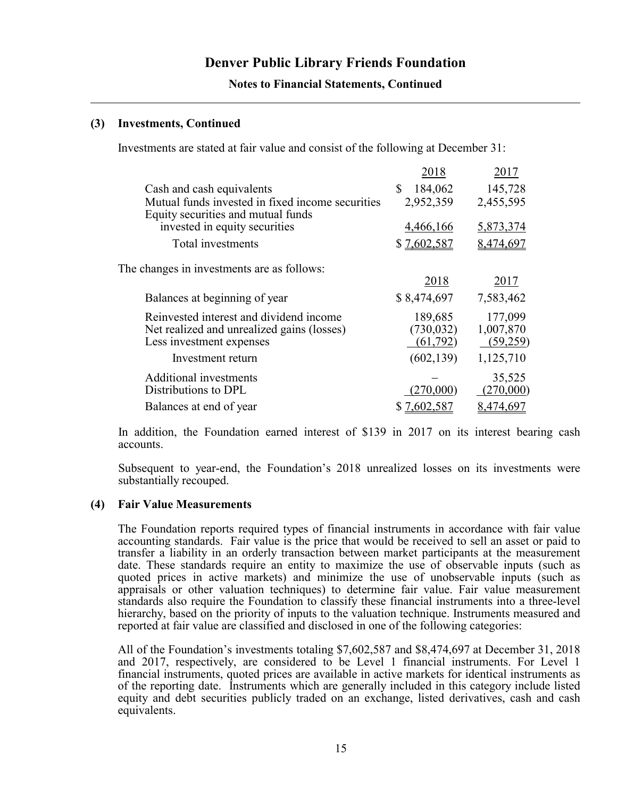# **Notes to Financial Statements, Continued**

# **(3) Investments, Continued**

Investments are stated at fair value and consist of the following at December 31:

|                                                                                        | 2018                    | 2017                  |
|----------------------------------------------------------------------------------------|-------------------------|-----------------------|
| Cash and cash equivalents                                                              | 184,062<br>S            | 145,728               |
| Mutual funds invested in fixed income securities<br>Equity securities and mutual funds | 2,952,359               | 2,455,595             |
| invested in equity securities                                                          | 4,466,166               | 5,873,374             |
| Total investments                                                                      | \$7,602,587             | 8,474,697             |
| The changes in investments are as follows:                                             |                         |                       |
|                                                                                        | 2018                    | 2017                  |
| Balances at beginning of year                                                          | \$8,474,697             | 7,583,462             |
| Reinvested interest and dividend income                                                | 189,685                 | 177,099               |
| Net realized and unrealized gains (losses)<br>Less investment expenses                 | (730, 032)<br>(61, 792) | 1,007,870<br>(59,259) |
| Investment return                                                                      | (602, 139)              | 1,125,710             |
| Additional investments                                                                 |                         | 35,525                |
| Distributions to DPL                                                                   | 270.0001                | 270,000)              |
| Balances at end of year                                                                | \$7,602,587             | 8,474,697             |

In addition, the Foundation earned interest of \$139 in 2017 on its interest bearing cash accounts.

Subsequent to year-end, the Foundation's 2018 unrealized losses on its investments were substantially recouped.

#### **(4) Fair Value Measurements**

The Foundation reports required types of financial instruments in accordance with fair value accounting standards. Fair value is the price that would be received to sell an asset or paid to transfer a liability in an orderly transaction between market participants at the measurement date. These standards require an entity to maximize the use of observable inputs (such as quoted prices in active markets) and minimize the use of unobservable inputs (such as appraisals or other valuation techniques) to determine fair value. Fair value measurement standards also require the Foundation to classify these financial instruments into a three-level hierarchy, based on the priority of inputs to the valuation technique. Instruments measured and reported at fair value are classified and disclosed in one of the following categories:

All of the Foundation's investments totaling \$7,602,587 and \$8,474,697 at December 31, 2018 and 2017, respectively, are considered to be Level 1 financial instruments. For Level 1 financial instruments, quoted prices are available in active markets for identical instruments as of the reporting date. Instruments which are generally included in this category include listed equity and debt securities publicly traded on an exchange, listed derivatives, cash and cash equivalents.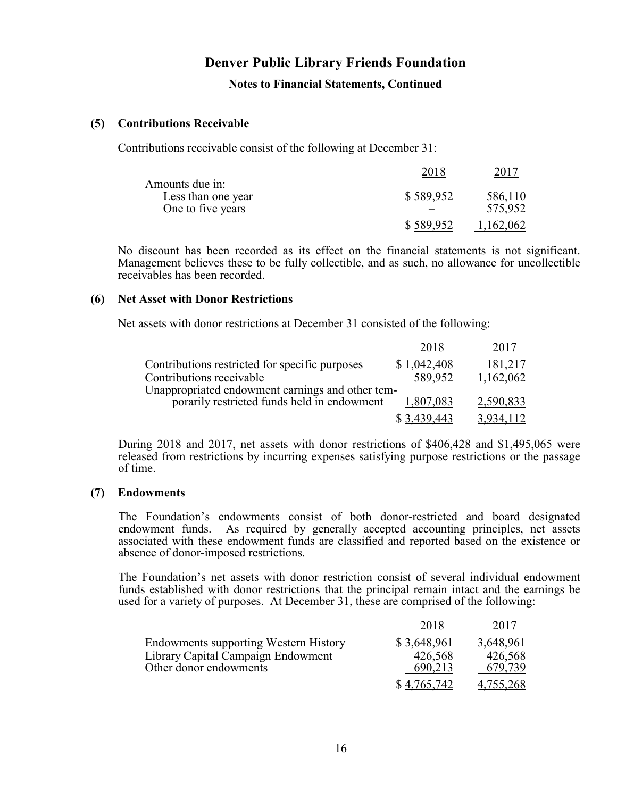# **Notes to Financial Statements, Continued**

#### **(5) Contributions Receivable**

Contributions receivable consist of the following at December 31:

|                                       | 2018      | 2017      |
|---------------------------------------|-----------|-----------|
| Amounts due in:<br>Less than one year | \$589,952 | 586,110   |
| One to five years                     |           | 575,952   |
|                                       | \$589,952 | 1,162,062 |

No discount has been recorded as its effect on the financial statements is not significant. Management believes these to be fully collectible, and as such, no allowance for uncollectible receivables has been recorded.

# **(6) Net Asset with Donor Restrictions**

Net assets with donor restrictions at December 31 consisted of the following:

|                                                  | 2018        | 2017      |
|--------------------------------------------------|-------------|-----------|
| Contributions restricted for specific purposes   | \$1,042,408 | 181,217   |
| Contributions receivable                         | 589,952     | 1,162,062 |
| Unappropriated endowment earnings and other tem- |             |           |
| porarily restricted funds held in endowment      | 1,807,083   | 2,590,833 |
|                                                  | \$3,439,443 | 3,934,112 |

During 2018 and 2017, net assets with donor restrictions of \$406,428 and \$1,495,065 were released from restrictions by incurring expenses satisfying purpose restrictions or the passage of time.

# **(7) Endowments**

The Foundation's endowments consist of both donor-restricted and board designated endowment funds. As required by generally accepted accounting principles, net assets associated with these endowment funds are classified and reported based on the existence or absence of donor-imposed restrictions.

The Foundation's net assets with donor restriction consist of several individual endowment funds established with donor restrictions that the principal remain intact and the earnings be used for a variety of purposes. At December 31, these are comprised of the following:

|                                              | 2018        | 2017      |
|----------------------------------------------|-------------|-----------|
| <b>Endowments supporting Western History</b> | \$3,648,961 | 3,648,961 |
| Library Capital Campaign Endowment           | 426,568     | 426,568   |
| Other donor endowments                       | 690.213     | 679.739   |
|                                              | \$4,765,742 | 4,755,268 |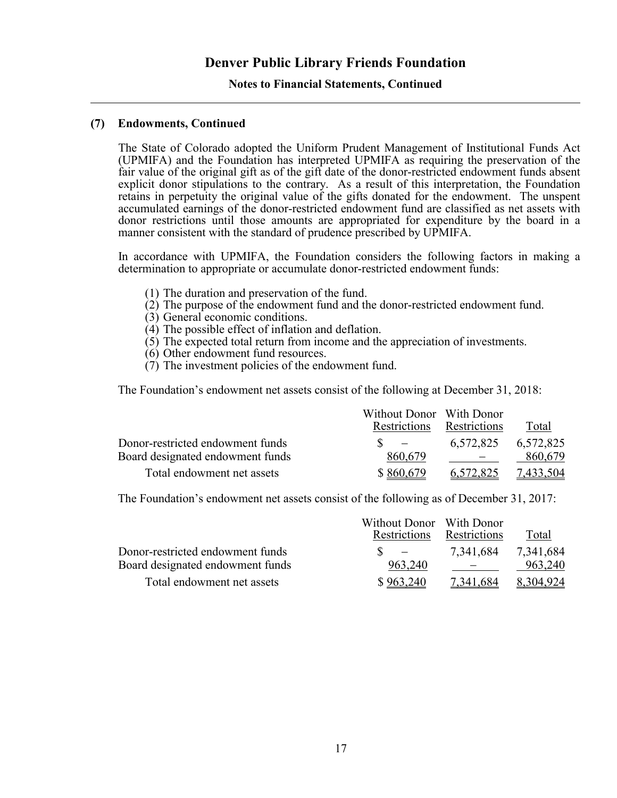# **Notes to Financial Statements, Continued**

#### **(7) Endowments, Continued**

The State of Colorado adopted the Uniform Prudent Management of Institutional Funds Act (UPMIFA) and the Foundation has interpreted UPMIFA as requiring the preservation of the fair value of the original gift as of the gift date of the donor-restricted endowment funds absent explicit donor stipulations to the contrary. As a result of this interpretation, the Foundation retains in perpetuity the original value of the gifts donated for the endowment. The unspent accumulated earnings of the donor-restricted endowment fund are classified as net assets with donor restrictions until those amounts are appropriated for expenditure by the board in a manner consistent with the standard of prudence prescribed by UPMIFA.

In accordance with UPMIFA, the Foundation considers the following factors in making a determination to appropriate or accumulate donor-restricted endowment funds:

- (1) The duration and preservation of the fund.
- (2) The purpose of the endowment fund and the donor-restricted endowment fund.
- (3) General economic conditions.
- (4) The possible effect of inflation and deflation.
- (5) The expected total return from income and the appreciation of investments.
- (6) Other endowment fund resources.
- (7) The investment policies of the endowment fund.

The Foundation's endowment net assets consist of the following at December 31, 2018:

|                                  | Without Donor With Donor<br>Restrictions | Restrictions | Total     |
|----------------------------------|------------------------------------------|--------------|-----------|
| Donor-restricted endowment funds |                                          | 6,572,825    | 6,572,825 |
| Board designated endowment funds | 860.679                                  |              | 860.679   |
| Total endowment net assets       | \$860.679                                | 6,572,825    | 7.433.504 |

The Foundation's endowment net assets consist of the following as of December 31, 2017:

|                                                                      | Without Donor With Donor<br><b>Restrictions</b> | Restrictions | Total                |
|----------------------------------------------------------------------|-------------------------------------------------|--------------|----------------------|
| Donor-restricted endowment funds<br>Board designated endowment funds | 963.240                                         | 7.341.684    | 7,341,684<br>963,240 |
| Total endowment net assets                                           | \$963.240                                       | 7.341.684    | 8,304,924            |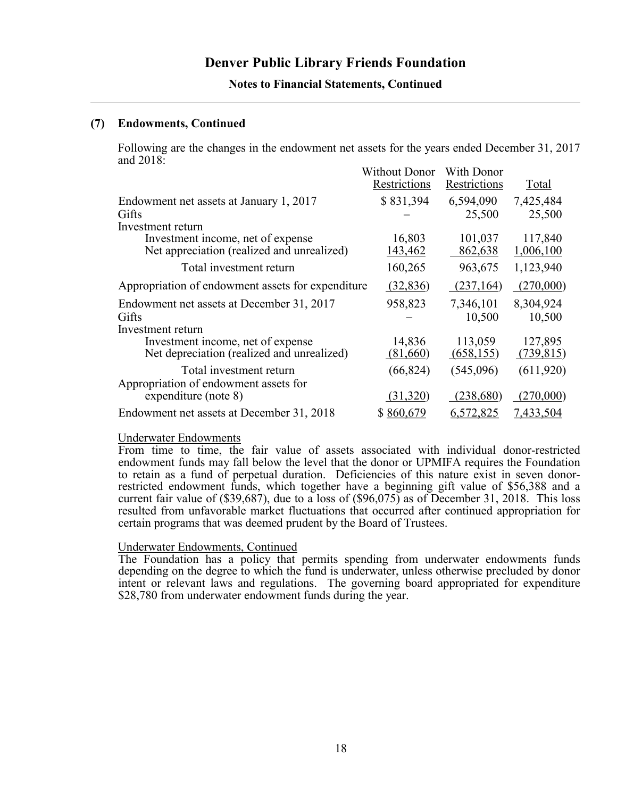# **Notes to Financial Statements, Continued**

#### **(7) Endowments, Continued**

Following are the changes in the endowment net assets for the years ended December 31, 2017 and 2018:

|                                                   | <b>Without Donor</b><br>Restrictions | With Donor<br>Restrictions | Total      |
|---------------------------------------------------|--------------------------------------|----------------------------|------------|
| Endowment net assets at January 1, 2017           | \$831,394                            | 6,594,090                  | 7,425,484  |
| Gifts                                             |                                      | 25,500                     | 25,500     |
| Investment return                                 |                                      |                            |            |
| Investment income, net of expense                 | 16,803                               | 101,037                    | 117,840    |
| Net appreciation (realized and unrealized)        | 143,462                              | 862,638                    | 1,006,100  |
| Total investment return                           | 160,265                              | 963,675                    | 1,123,940  |
| Appropriation of endowment assets for expenditure | (32,836)                             | (237,164)                  | (270,000)  |
| Endowment net assets at December 31, 2017         | 958,823                              | 7,346,101                  | 8,304,924  |
| Gifts                                             |                                      | 10,500                     | 10,500     |
| Investment return                                 |                                      |                            |            |
| Investment income, net of expense                 | 14,836                               | 113,059                    | 127,895    |
| Net depreciation (realized and unrealized)        | (81,660)                             | (658, 155)                 | (739, 815) |
| Total investment return                           | (66, 824)                            | (545,096)                  | (611, 920) |
| Appropriation of endowment assets for             |                                      |                            |            |
| expenditure (note 8)                              | (31,320)                             | (238, 680)                 | (270,000)  |
| Endowment net assets at December 31, 2018         | \$860,679                            | 6,572,825                  | 7,433,504  |

#### Underwater Endowments

From time to time, the fair value of assets associated with individual donor-restricted endowment funds may fall below the level that the donor or UPMIFA requires the Foundation to retain as a fund of perpetual duration. Deficiencies of this nature exist in seven donorrestricted endowment funds, which together have a beginning gift value of \$56,388 and a current fair value of  $(\$39,687)$ , due to a loss of  $(\$96,075)$  as of December 31, 2018. This loss resulted from unfavorable market fluctuations that occurred after continued appropriation for certain programs that was deemed prudent by the Board of Trustees.

#### Underwater Endowments, Continued

The Foundation has a policy that permits spending from underwater endowments funds depending on the degree to which the fund is underwater, unless otherwise precluded by donor intent or relevant laws and regulations. The governing board appropriated for expenditure \$28,780 from underwater endowment funds during the year.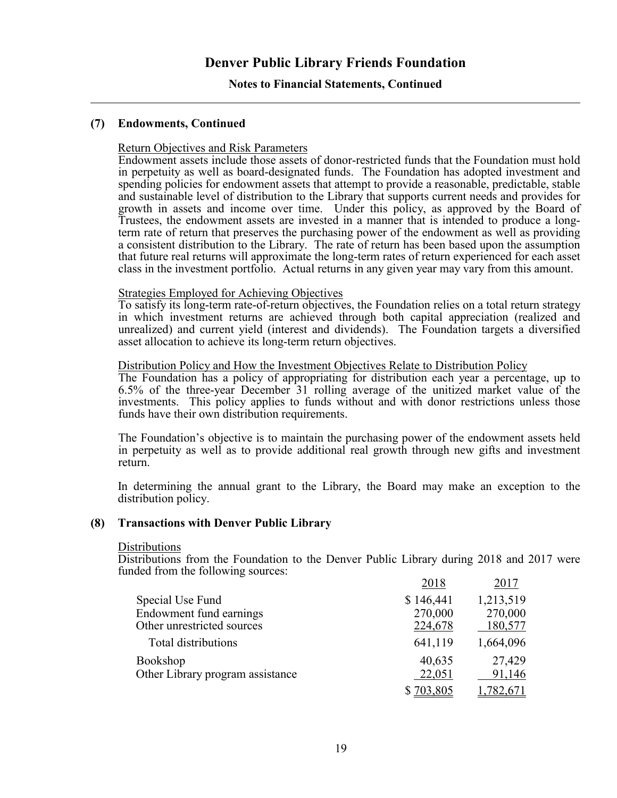# **Notes to Financial Statements, Continued**

### **(7) Endowments, Continued**

#### Return Objectives and Risk Parameters

Endowment assets include those assets of donor-restricted funds that the Foundation must hold in perpetuity as well as board-designated funds. The Foundation has adopted investment and spending policies for endowment assets that attempt to provide a reasonable, predictable, stable and sustainable level of distribution to the Library that supports current needs and provides for growth in assets and income over time. Under this policy, as approved by the Board of Trustees, the endowment assets are invested in a manner that is intended to produce a longterm rate of return that preserves the purchasing power of the endowment as well as providing a consistent distribution to the Library. The rate of return has been based upon the assumption that future real returns will approximate the long-term rates of return experienced for each asset class in the investment portfolio. Actual returns in any given year may vary from this amount.

#### Strategies Employed for Achieving Objectives

To satisfy its long-term rate-of-return objectives, the Foundation relies on a total return strategy in which investment returns are achieved through both capital appreciation (realized and unrealized) and current yield (interest and dividends). The Foundation targets a diversified asset allocation to achieve its long-term return objectives.

#### Distribution Policy and How the Investment Objectives Relate to Distribution Policy

The Foundation has a policy of appropriating for distribution each year a percentage, up to 6.5% of the three-year December 31 rolling average of the unitized market value of the investments. This policy applies to funds without and with donor restrictions unless those funds have their own distribution requirements.

The Foundation's objective is to maintain the purchasing power of the endowment assets held in perpetuity as well as to provide additional real growth through new gifts and investment return.

In determining the annual grant to the Library, the Board may make an exception to the distribution policy.

### **(8) Transactions with Denver Public Library**

#### **Distributions**

Distributions from the Foundation to the Denver Public Library during 2018 and 2017 were funded from the following sources:

|                                  | 2018      | 2017      |
|----------------------------------|-----------|-----------|
| Special Use Fund                 | \$146,441 | 1,213,519 |
| Endowment fund earnings          | 270,000   | 270,000   |
| Other unrestricted sources       | 224,678   | 180,577   |
| Total distributions              | 641,119   | 1,664,096 |
| Bookshop                         | 40,635    | 27,429    |
| Other Library program assistance | 22,051    | 91,146    |
|                                  | \$703,805 | 1,782,671 |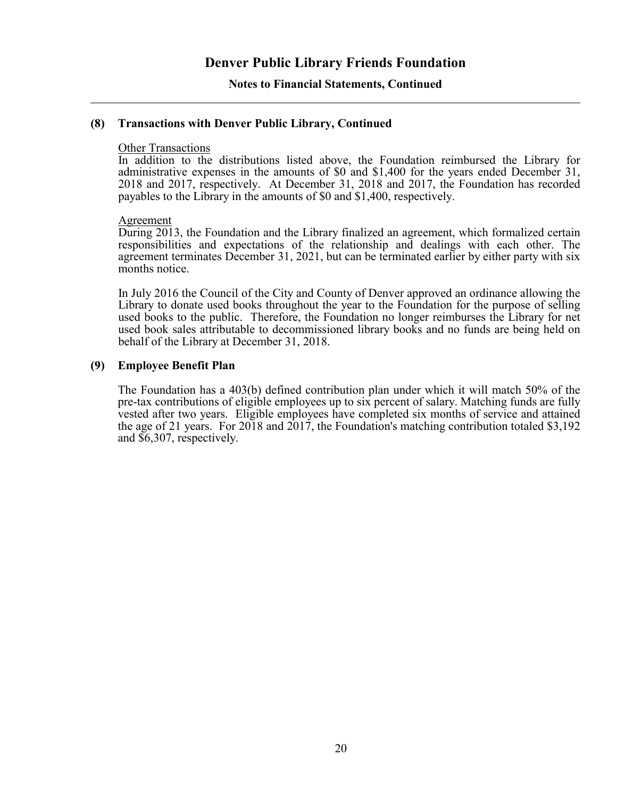### **Notes to Financial Statements, Continued**

#### **(8) Transactions with Denver Public Library, Continued**

#### Other Transactions

In addition to the distributions listed above, the Foundation reimbursed the Library for administrative expenses in the amounts of \$0 and \$1,400 for the years ended December 31, 2018 and 2017, respectively. At December 31, 2018 and 2017, the Foundation has recorded payables to the Library in the amounts of \$0 and \$1,400, respectively.

#### Agreement

During 2013, the Foundation and the Library finalized an agreement, which formalized certain responsibilities and expectations of the relationship and dealings with each other. The agreement terminates December 31, 2021, but can be terminated earlier by either party with six months notice.

In July 2016 the Council of the City and County of Denver approved an ordinance allowing the Library to donate used books throughout the year to the Foundation for the purpose of selling used books to the public. Therefore, the Foundation no longer reimburses the Library for net used book sales attributable to decommissioned library books and no funds are being held on behalf of the Library at December 31, 2018.

#### **(9) Employee Benefit Plan**

The Foundation has a 403(b) defined contribution plan under which it will match 50% of the pre-tax contributions of eligible employees up to six percent of salary. Matching funds are fully vested after two years. Eligible employees have completed six months of service and attained the age of 21 years. For 2018 and 2017, the Foundation's matching contribution totaled \$3,192 and \$6,307, respectively.